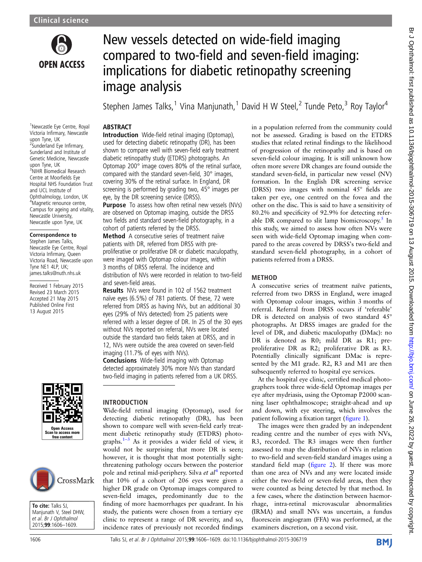

# New vessels detected on wide-field imaging compared to two-field and seven-field imaging: implications for diabetic retinopathy screening image analysis

Stephen James Talks,<sup>1</sup> Vina Manjunath,<sup>1</sup> David H W Steel,<sup>2</sup> Tunde Peto,<sup>3</sup> Roy Taylor<sup>4</sup>

#### <sup>1</sup>Newcastle Eye Centre, Royal Victoria Infirmary, Newcastle upon Tyne, UK <sup>2</sup>Sunderland Eye Infirmary, Sunderland and Institute of Genetic Medicine, Newcastle upon Tyne, UK <sup>3</sup>NIHR Biomedical Research Centre at Moorfields Eye Hospital NHS Foundation Trust

and UCL Institute of Ophthalmology, London, UK 4 Magnetic renounce centre, Campus for ageing and vitality, Newcastle University, Newcastle upon Tyne, UK

## Correspondence to

Stephen James Talks, Newcastle Eye Centre, Royal Victoria Infirmary, Queen Victoria Road, Newcastle upon Tyne NE1 4LP, UK; james.talks@nuth.nhs.uk

Received 1 February 2015 Revised 23 March 2015 Accepted 21 May 2015 Published Online First 13 August 2015





To cite: Talks SJ, Manjunath V, Steel DHW, et al. Br J Ophthalmol 2015;99:1606–1609.

# **ABSTRACT**

**Introduction** Wide-field retinal imaging (Optomap), used for detecting diabetic retinopathy (DR), has been shown to compare well with seven-field early treatment diabetic retinopathy study (ETDRS) photographs. An Optomap 200° image covers 80% of the retinal surface, compared with the standard seven-field, 30° images, covering 30% of the retinal surface. In England, DR screening is performed by grading two, 45° images per eye, by the DR screening service (DRSS).

**Purpose** To assess how often retinal new vessels (NVs) are observed on Optomap imaging, outside the DRSS two fields and standard seven-field photography, in a cohort of patients referred by the DRSS.

Method A consecutive series of treatment naïve patients with DR, referred from DRSS with preproliferative or proliferative DR or diabetic maculopathy, were imaged with Optomap colour images, within 3 months of DRSS referral. The incidence and distribution of NVs were recorded in relation to two-field and seven-field areas.

Results NVs were found in 102 of 1562 treatment naïve eyes (6.5%) of 781 patients. Of these, 72 were referred from DRSS as having NVs, but an additional 30 eyes (29% of NVs detected) from 25 patients were referred with a lesser degree of DR. In 25 of the 30 eyes without NVs reported on referral, NVs were located outside the standard two fields taken at DRSS, and in 12, NVs were outside the area covered on seven-field imaging (11.7% of eyes with NVs).

Conclusions Wide-field imaging with Optomap detected approximately 30% more NVs than standard two-field imaging in patients referred from a UK DRSS.

# INTRODUCTION

Wide-field retinal imaging (Optomap), used for detecting diabetic retinopathy (DR), has been shown to compare well with seven-field early treatment diabetic retinopathy study (ETDRS) photographs. $1-3$  $1-3$  As it provides a wider field of view, it would not be surprising that more DR is seen; however, it is thought that most potentially sightthreatening pathology occurs between the posterior pole and retinal mid-periphery. Silva et  $al<sup>4</sup>$  $al<sup>4</sup>$  $al<sup>4</sup>$  reported that 10% of a cohort of 206 eyes were given a higher DR grade on Optomap images compared to seven-field images, predominantly due to the finding of more haemorrhages per quadrant. In his study, the patients were chosen from a tertiary eye clinic to represent a range of DR severity, and so, incidence rates of previously not recorded findings

in a population referred from the community could not be assessed. Grading is based on the ETDRS studies that related retinal findings to the likelihood of progression of the retinopathy and is based on seven-field colour imaging. It is still unknown how often more severe DR changes are found outside the standard seven-field, in particular new vessel (NV) formation. In the English DR screening service (DRSS) two images with nominal 45° fields are taken per eye, one centred on the fovea and the other on the disc. This is said to have a sensitivity of 80.2% and specificity of 92.9% for detecting refer-able DR compared to slit lamp biomicroscopy.<sup>[5](#page-3-0)</sup> In this study, we aimed to assess how often NVs were seen with wide-field Optomap imaging when compared to the areas covered by DRSS's two-field and standard seven-field photography, in a cohort of patients referred from a DRSS.

# **METHOD**

A consecutive series of treatment naïve patients, referred from two DRSS in England, were imaged with Optomap colour images, within 3 months of referral. Referral from DRSS occurs if 'referable' DR is detected on analysis of two standard 45° photographs. At DRSS images are graded for the level of DR, and diabetic maculopathy (DMac): no DR is denoted as R0; mild DR as R1; preproliferative DR as R2; proliferative DR as R3. Potentially clinically significant DMac is represented by the M1 grade. R2, R3 and M1 are then subsequently referred to hospital eye services.

At the hospital eye clinic, certified medical photographers took three wide-field Optomap images per eye after mydriasis, using the Optomap P2000 scanning laser ophthalmoscope; straight-ahead and up and down, with eye steering, which involves the patient following a fixation target (fi[gure 1\)](#page-1-0).

The images were then graded by an independent reading centre and the number of eyes with NVs, R3, recorded. The R3 images were then further assessed to map the distribution of NVs in relation to two-field and seven-field standard images using a standard field map (fi[gure 2\)](#page-2-0). If there was more than one area of NVs and any were located inside either the two-field or seven-field areas, then they were counted as being detected by that method. In a few cases, where the distinction between haemorrhage, intra-retinal microvascular abnormalities (IRMA) and small NVs was uncertain, a fundus fluorescein angiogram (FFA) was performed, at the examiners discretion, on a second visit.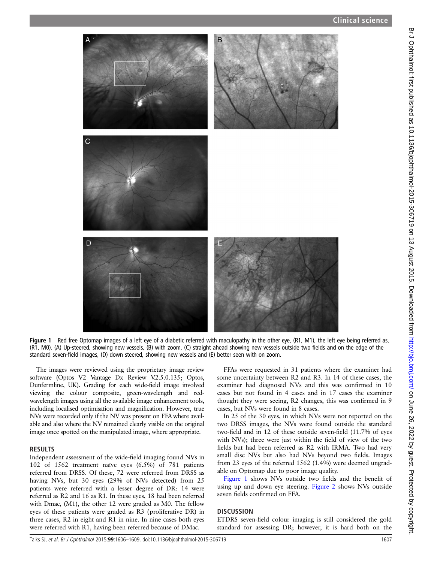<span id="page-1-0"></span>

Figure 1 Red free Optomap images of a left eye of a diabetic referred with maculopathy in the other eye, (R1, M1), the left eye being referred as, (R1, M0). (A) Up-steered, showing new vessels, (B) with zoom, (C) straight ahead showing new vessels outside two fields and on the edge of the standard seven-field images, (D) down steered, showing new vessels and (E) better seen with on zoom.

The images were reviewed using the proprietary image review software (Optos V2 Vantage Dx Review V.2.5.0.135; Optos, Dunfermline, UK). Grading for each wide-field image involved viewing the colour composite, green-wavelength and redwavelength images using all the available image enhancement tools, including localised optimisation and magnification. However, true NVs were recorded only if the NV was present on FFA where available and also where the NV remained clearly visible on the original image once spotted on the manipulated image, where appropriate.

## RESULTS

Independent assessment of the wide-field imaging found NVs in 102 of 1562 treatment naïve eyes (6.5%) of 781 patients referred from DRSS. Of these, 72 were referred from DRSS as having NVs, but 30 eyes (29% of NVs detected) from 25 patients were referred with a lesser degree of DR: 14 were referred as R2 and 16 as R1. In these eyes, 18 had been referred with Dmac, (M1), the other 12 were graded as M0. The fellow eyes of these patients were graded as R3 (proliferative DR) in three cases, R2 in eight and R1 in nine. In nine cases both eyes were referred with R1, having been referred because of DMac.

FFAs were requested in 31 patients where the examiner had some uncertainty between R2 and R3. In 14 of these cases, the examiner had diagnosed NVs and this was confirmed in 10 cases but not found in 4 cases and in 17 cases the examiner thought they were seeing, R2 changes, this was confirmed in 9 cases, but NVs were found in 8 cases.

In 25 of the 30 eyes, in which NVs were not reported on the two DRSS images, the NVs were found outside the standard two-field and in 12 of these outside seven-field (11.7% of eyes with NVs); three were just within the field of view of the two fields but had been referred as R2 with IRMA. Two had very small disc NVs but also had NVs beyond two fields. Images from 23 eyes of the referred 1562 (1.4%) were deemed ungradable on Optomap due to poor image quality.

Figure 1 shows NVs outside two fields and the benefit of using up and down eye steering. [Figure 2](#page-2-0) shows NVs outside seven fields confirmed on FFA.

# **DISCUSSION**

ETDRS seven-field colour imaging is still considered the gold standard for assessing DR; however, it is hard both on the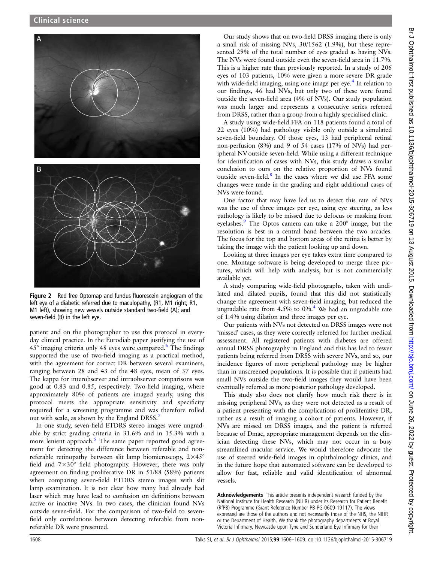<span id="page-2-0"></span>

Figure 2 Red free Optomap and fundus fluorescein angiogram of the left eye of a diabetic referred due to maculopathy, (R1, M1 right; R1, M1 left), showing new vessels outside standard two-field (A); and seven-field (B) in the left eye.

patient and on the photographer to use this protocol in everyday clinical practice. In the Eurodiab paper justifying the use of 45° imaging criteria only 48 eyes were compared.<sup>[6](#page-3-0)</sup> The findings supported the use of two-field imaging as a practical method, with the agreement for correct DR between several examiners, ranging between 28 and 43 of the 48 eyes, mean of 37 eyes. The kappa for interobserver and intraobserver comparisons was good at 0.83 and 0.85, respectively. Two-field imaging, where approximately 80% of patients are imaged yearly, using this protocol meets the appropriate sensitivity and specificity required for a screening programme and was therefore rolled out with scale, as shown by the England DRSS.<sup>[7](#page-3-0)</sup>

In one study, seven-field ETDRS stereo images were ungradable by strict grading criteria in 31.6% and in 15.3% with a more lenient approach. $5$  The same paper reported good agreement for detecting the difference between referable and nonreferable retinopathy between slit lamp biomicroscopy, 2×45° field and 7×30° field photography. However, there was only agreement on finding proliferative DR in 51/88 (58%) patients when comparing seven-field ETDRS stereo images with slit lamp examination. It is not clear how many had already had laser which may have lead to confusion on definitions between active or inactive NVs. In two cases, the clinician found NVs outside seven-field. For the comparison of two-field to sevenfield only correlations between detecting referable from nonreferable DR were presented.

Our study shows that on two-field DRSS imaging there is only a small risk of missing NVs, 30/1562 (1.9%), but these represented 29% of the total number of eyes graded as having NVs. The NVs were found outside even the seven-field area in 11.7%. This is a higher rate than previously reported. In a study of 206 eyes of 103 patients, 10% were given a more severe DR grade with wide-field imaging, using one image per eye. $4$  In relation to our findings, 46 had NVs, but only two of these were found outside the seven-field area (4% of NVs). Our study population was much larger and represents a consecutive series referred from DRSS, rather than a group from a highly specialised clinic.

A study using wide-field FFA on 118 patients found a total of 22 eyes (10%) had pathology visible only outside a simulated seven-field boundary. Of those eyes, 13 had peripheral retinal non-perfusion (8%) and 9 of 54 cases (17% of NVs) had peripheral NV outside seven-field. While using a different technique for identification of cases with NVs, this study draws a similar conclusion to ours on the relative proportion of NVs found outside seven-field.<sup>[8](#page-3-0)</sup> In the cases where we did use FFA some changes were made in the grading and eight additional cases of NVs were found.

One factor that may have led us to detect this rate of NVs was the use of three images per eye, using eye steering, as less pathology is likely to be missed due to defocus or masking from eyelashes.<sup>[9](#page-3-0)</sup> The Optos camera can take a 200° image, but the resolution is best in a central band between the two arcades. The focus for the top and bottom areas of the retina is better by taking the image with the patient looking up and down.

Looking at three images per eye takes extra time compared to one. Montage software is being developed to merge three pictures, which will help with analysis, but is not commercially available yet.

A study comparing wide-field photographs, taken with undilated and dilated pupils, found that this did not statistically change the agreement with seven-field imaging, but reduced the ungradable rate from  $4.5\%$  $4.5\%$  to  $0\%$ .<sup>4</sup> We had an ungradable rate of 1.4% using dilation and three images per eye.

Our patients with NVs not detected on DRSS images were not 'missed' cases, as they were correctly referred for further medical assessment. All registered patients with diabetes are offered annual DRSS photography in England and this has led to fewer patients being referred from DRSS with severe NVs, and so, our incidence figures of more peripheral pathology may be higher than in unscreened populations. It is possible that if patients had small NVs outside the two-field images they would have been eventually referred as more posterior pathology developed.

This study also does not clarify how much risk there is in missing peripheral NVs, as they were not detected as a result of a patient presenting with the complications of proliferative DR, rather as a result of imaging a cohort of patients. However, if NVs are missed on DRSS images, and the patient is referred because of Dmac, appropriate management depends on the clinician detecting these NVs, which may not occur in a busy streamlined macular service. We would therefore advocate the use of steered wide-field images in ophthalmology clinics, and in the future hope that automated software can be developed to allow for fast, reliable and valid identification of abnormal vessels.

Acknowledgements This article presents independent research funded by the National Institute for Health Research (NIHR) under its Research for Patient Benefit (RfPB) Programme (Grant Reference Number PB-PG-0609-19117). The views expressed are those of the authors and not necessarily those of the NHS, the NIHR or the Department of Health. We thank the photography departments at Royal Victoria Infirmary, Newcastle upon Tyne and Sunderland Eye Infirmary for their